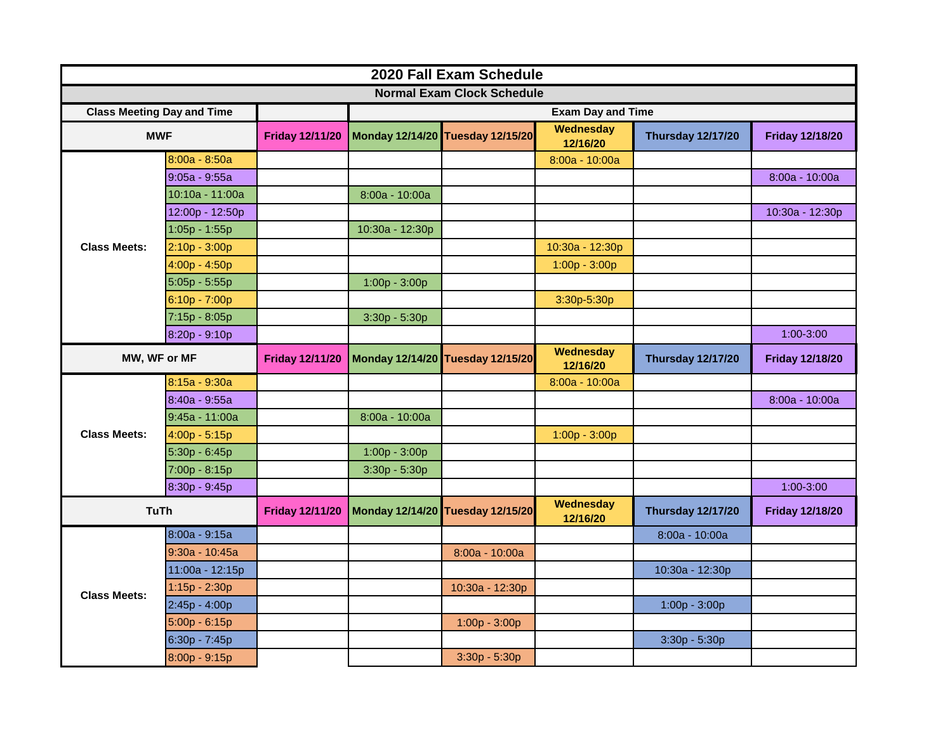| 2020 Fall Exam Schedule           |                 |                        |                          |                                  |                       |                          |                        |  |  |  |  |
|-----------------------------------|-----------------|------------------------|--------------------------|----------------------------------|-----------------------|--------------------------|------------------------|--|--|--|--|
| <b>Normal Exam Clock Schedule</b> |                 |                        |                          |                                  |                       |                          |                        |  |  |  |  |
| <b>Class Meeting Day and Time</b> |                 |                        | <b>Exam Day and Time</b> |                                  |                       |                          |                        |  |  |  |  |
| <b>MWF</b>                        |                 | <b>Friday 12/11/20</b> |                          | Monday 12/14/20 Tuesday 12/15/20 | Wednesday<br>12/16/20 | <b>Thursday 12/17/20</b> | <b>Friday 12/18/20</b> |  |  |  |  |
| <b>Class Meets:</b>               | 8:00a - 8:50a   |                        |                          |                                  | 8:00a - 10:00a        |                          |                        |  |  |  |  |
|                                   | $9:05a - 9:55a$ |                        |                          |                                  |                       |                          | 8:00a - 10:00a         |  |  |  |  |
|                                   | 10:10a - 11:00a |                        | 8:00a - 10:00a           |                                  |                       |                          |                        |  |  |  |  |
|                                   | 12:00p - 12:50p |                        |                          |                                  |                       |                          | 10:30a - 12:30p        |  |  |  |  |
|                                   | 1:05p - 1:55p   |                        | 10:30a - 12:30p          |                                  |                       |                          |                        |  |  |  |  |
|                                   | $2:10p - 3:00p$ |                        |                          |                                  | 10:30a - 12:30p       |                          |                        |  |  |  |  |
|                                   | $4:00p - 4:50p$ |                        |                          |                                  | $1:00p - 3:00p$       |                          |                        |  |  |  |  |
|                                   | $5:05p - 5:55p$ |                        | $1:00p - 3:00p$          |                                  |                       |                          |                        |  |  |  |  |
|                                   | 6:10p - 7:00p   |                        |                          |                                  | 3:30p-5:30p           |                          |                        |  |  |  |  |
|                                   | 7:15p - 8:05p   |                        | $3:30p - 5:30p$          |                                  |                       |                          |                        |  |  |  |  |
|                                   | 8:20p - 9:10p   |                        |                          |                                  |                       |                          | 1:00-3:00              |  |  |  |  |
| MW, WF or MF                      |                 | <b>Friday 12/11/20</b> |                          | Monday 12/14/20 Tuesday 12/15/20 | Wednesday<br>12/16/20 | <b>Thursday 12/17/20</b> | <b>Friday 12/18/20</b> |  |  |  |  |
| <b>Class Meets:</b>               | 8:15a - 9:30a   |                        |                          |                                  | 8:00a - 10:00a        |                          |                        |  |  |  |  |
|                                   | 8:40a - 9:55a   |                        |                          |                                  |                       |                          | 8:00a - 10:00a         |  |  |  |  |
|                                   | 9:45a - 11:00a  |                        | 8:00a - 10:00a           |                                  |                       |                          |                        |  |  |  |  |
|                                   | $4:00p - 5:15p$ |                        |                          |                                  | $1:00p - 3:00p$       |                          |                        |  |  |  |  |
|                                   | 5:30p - 6:45p   |                        | 1:00p - 3:00p            |                                  |                       |                          |                        |  |  |  |  |
|                                   | 7:00p - 8:15p   |                        | $3:30p - 5:30p$          |                                  |                       |                          |                        |  |  |  |  |
|                                   | 8:30p - 9:45p   |                        |                          |                                  |                       |                          | 1:00-3:00              |  |  |  |  |
| <b>TuTh</b>                       |                 | <b>Friday 12/11/20</b> |                          | Monday 12/14/20 Tuesday 12/15/20 | Wednesday<br>12/16/20 | <b>Thursday 12/17/20</b> | <b>Friday 12/18/20</b> |  |  |  |  |
|                                   | 8:00a - 9:15a   |                        |                          |                                  |                       | 8:00a - 10:00a           |                        |  |  |  |  |
| <b>Class Meets:</b>               | 9:30a - 10:45a  |                        |                          | 8:00a - 10:00a                   |                       |                          |                        |  |  |  |  |
|                                   | 11:00a - 12:15p |                        |                          |                                  |                       | 10:30a - 12:30p          |                        |  |  |  |  |
|                                   | $1:15p - 2:30p$ |                        |                          | 10:30a - 12:30p                  |                       |                          |                        |  |  |  |  |
|                                   | $2:45p - 4:00p$ |                        |                          |                                  |                       | 1:00p - 3:00p            |                        |  |  |  |  |
|                                   | $5:00p - 6:15p$ |                        |                          | $1:00p - 3:00p$                  |                       |                          |                        |  |  |  |  |
|                                   | 6:30p - 7:45p   |                        |                          |                                  |                       | 3:30p - 5:30p            |                        |  |  |  |  |
|                                   | 8:00p - 9:15p   |                        |                          | $3:30p - 5:30p$                  |                       |                          |                        |  |  |  |  |